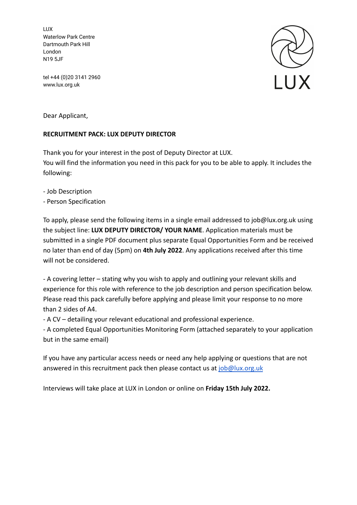LUX Waterlow Park Centre Dartmouth Park Hill London N19 5JF

tel +44 (0)20 3141 2960 www.lux.org.uk



Dear Applicant,

## **RECRUITMENT PACK: LUX DEPUTY DIRECTOR**

Thank you for your interest in the post of Deputy Director at LUX. You will find the information you need in this pack for you to be able to apply. It includes the following:

- Job Description

- Person Specification

To apply, please send the following items in a single email addressed to job@lux.org.uk using the subject line: **LUX DEPUTY DIRECTOR/ YOUR NAME**. Application materials must be submitted in a single PDF document plus separate Equal Opportunities Form and be received no later than end of day (5pm) on **4th July 2022**. Any applications received after this time will not be considered.

- A covering letter – stating why you wish to apply and outlining your relevant skills and experience for this role with reference to the job description and person specification below. Please read this pack carefully before applying and please limit your response to no more than 2 sides of A4.

- A CV – detailing your relevant educational and professional experience.

- A completed Equal Opportunities Monitoring Form (attached separately to your application but in the same email)

If you have any particular access needs or need any help applying or questions that are not answered in this recruitment pack then please contact us at [job@lux.org.uk](mailto:jobs@lux.org.uk)

Interviews will take place at LUX in London or online on **Friday 15th July 2022.**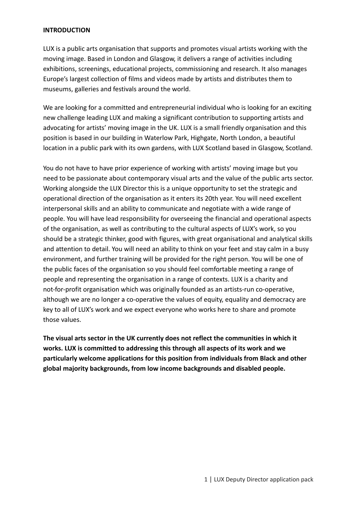#### **INTRODUCTION**

LUX is a public arts organisation that supports and promotes visual artists working with the moving image. Based in London and Glasgow, it delivers a range of activities including exhibitions, screenings, educational projects, commissioning and research. It also manages Europe's largest collection of films and videos made by artists and distributes them to museums, galleries and festivals around the world.

We are looking for a committed and entrepreneurial individual who is looking for an exciting new challenge leading LUX and making a significant contribution to supporting artists and advocating for artists' moving image in the UK. LUX is a small friendly organisation and this position is based in our building in Waterlow Park, Highgate, North London, a beautiful location in a public park with its own gardens, with LUX Scotland based in Glasgow, Scotland.

You do not have to have prior experience of working with artists' moving image but you need to be passionate about contemporary visual arts and the value of the public arts sector. Working alongside the LUX Director this is a unique opportunity to set the strategic and operational direction of the organisation as it enters its 20th year. You will need excellent interpersonal skills and an ability to communicate and negotiate with a wide range of people. You will have lead responsibility for overseeing the financial and operational aspects of the organisation, as well as contributing to the cultural aspects of LUX's work, so you should be a strategic thinker, good with figures, with great organisational and analytical skills and attention to detail. You will need an ability to think on your feet and stay calm in a busy environment, and further training will be provided for the right person. You will be one of the public faces of the organisation so you should feel comfortable meeting a range of people and representing the organisation in a range of contexts. LUX is a charity and not-for-profit organisation which was originally founded as an artists-run co-operative, although we are no longer a co-operative the values of equity, equality and democracy are key to all of LUX's work and we expect everyone who works here to share and promote those values.

**The visual arts sector in the UK currently does not reflect the communities in which it works. LUX is committed to addressing this through all aspects of its work and we particularly welcome applications for this position from individuals from Black and other global majority backgrounds, from low income backgrounds and disabled people.**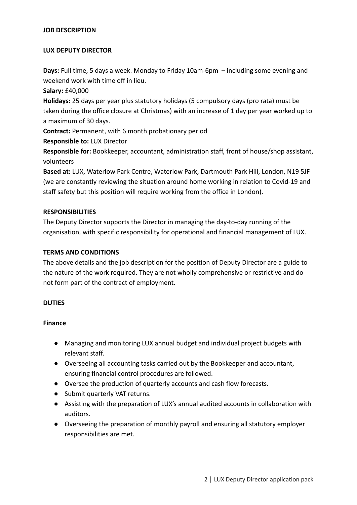#### **JOB DESCRIPTION**

#### **LUX DEPUTY DIRECTOR**

**Days:** Full time, 5 days a week. Monday to Friday 10am-6pm – including some evening and weekend work with time off in lieu.

**Salary:** £40,000

**Holidays:** 25 days per year plus statutory holidays (5 compulsory days (pro rata) must be taken during the office closure at Christmas) with an increase of 1 day per year worked up to a maximum of 30 days.

**Contract:** Permanent, with 6 month probationary period

**Responsible to:** LUX Director

**Responsible for:** Bookkeeper, accountant, administration staff, front of house/shop assistant, volunteers

**Based at:** LUX, Waterlow Park Centre, Waterlow Park, Dartmouth Park Hill, London, N19 5JF (we are constantly reviewing the situation around home working in relation to Covid-19 and staff safety but this position will require working from the office in London).

#### **RESPONSIBILITIES**

The Deputy Director supports the Director in managing the day-to-day running of the organisation, with specific responsibility for operational and financial management of LUX.

#### **TERMS AND CONDITIONS**

The above details and the job description for the position of Deputy Director are a guide to the nature of the work required. They are not wholly comprehensive or restrictive and do not form part of the contract of employment.

#### **DUTIES**

#### **Finance**

- Managing and monitoring LUX annual budget and individual project budgets with relevant staff.
- Overseeing all accounting tasks carried out by the Bookkeeper and accountant, ensuring financial control procedures are followed.
- Oversee the production of quarterly accounts and cash flow forecasts.
- Submit quarterly VAT returns.
- Assisting with the preparation of LUX's annual audited accounts in collaboration with auditors.
- Overseeing the preparation of monthly payroll and ensuring all statutory employer responsibilities are met.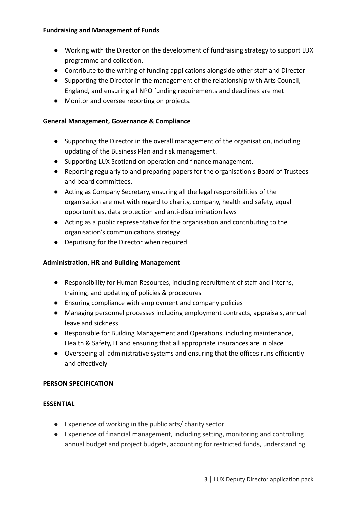#### **Fundraising and Management of Funds**

- Working with the Director on the development of fundraising strategy to support LUX programme and collection.
- Contribute to the writing of funding applications alongside other staff and Director
- Supporting the Director in the management of the relationship with Arts Council, England, and ensuring all NPO funding requirements and deadlines are met
- Monitor and oversee reporting on projects.

### **General Management, Governance & Compliance**

- Supporting the Director in the overall management of the organisation, including updating of the Business Plan and risk management.
- Supporting LUX Scotland on operation and finance management.
- Reporting regularly to and preparing papers for the organisation's Board of Trustees and board committees.
- Acting as Company Secretary, ensuring all the legal responsibilities of the organisation are met with regard to charity, company, health and safety, equal opportunities, data protection and anti-discrimination laws
- Acting as a public representative for the organisation and contributing to the organisation's communications strategy
- Deputising for the Director when required

## **Administration, HR and Building Management**

- Responsibility for Human Resources, including recruitment of staff and interns, training, and updating of policies & procedures
- Ensuring compliance with employment and company policies
- Managing personnel processes including employment contracts, appraisals, annual leave and sickness
- Responsible for Building Management and Operations, including maintenance, Health & Safety, IT and ensuring that all appropriate insurances are in place
- Overseeing all administrative systems and ensuring that the offices runs efficiently and effectively

#### **PERSON SPECIFICATION**

#### **ESSENTIAL**

- Experience of working in the public arts/ charity sector
- Experience of financial management, including setting, monitoring and controlling annual budget and project budgets, accounting for restricted funds, understanding